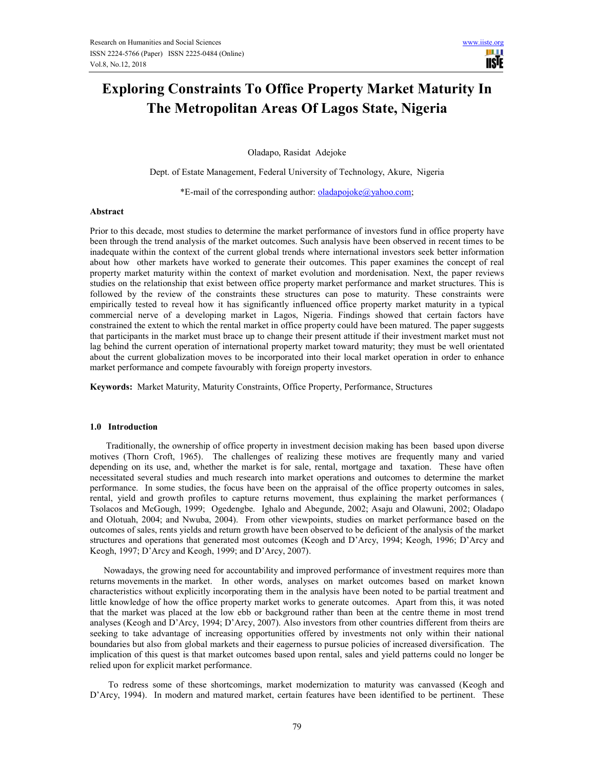m **USTE** 

# **Exploring Constraints To Office Property Market Maturity In The Metropolitan Areas Of Lagos State, Nigeria**

Oladapo, Rasidat Adejoke

Dept. of Estate Management, Federal University of Technology, Akure, Nigeria

\*E-mail of the corresponding author:  $oladapojoke@yahoo.com;$ 

#### **Abstract**

Prior to this decade, most studies to determine the market performance of investors fund in office property have been through the trend analysis of the market outcomes. Such analysis have been observed in recent times to be inadequate within the context of the current global trends where international investors seek better information about how other markets have worked to generate their outcomes. This paper examines the concept of real property market maturity within the context of market evolution and mordenisation. Next, the paper reviews studies on the relationship that exist between office property market performance and market structures. This is followed by the review of the constraints these structures can pose to maturity. These constraints were empirically tested to reveal how it has significantly influenced office property market maturity in a typical commercial nerve of a developing market in Lagos, Nigeria. Findings showed that certain factors have constrained the extent to which the rental market in office property could have been matured. The paper suggests that participants in the market must brace up to change their present attitude if their investment market must not lag behind the current operation of international property market toward maturity; they must be well orientated about the current globalization moves to be incorporated into their local market operation in order to enhance market performance and compete favourably with foreign property investors.

**Keywords:** Market Maturity, Maturity Constraints, Office Property, Performance, Structures

#### **1.0 Introduction**

 Traditionally, the ownership of office property in investment decision making has been based upon diverse motives (Thorn Croft, 1965). The challenges of realizing these motives are frequently many and varied depending on its use, and, whether the market is for sale, rental, mortgage and taxation. These have often necessitated several studies and much research into market operations and outcomes to determine the market performance. In some studies, the focus have been on the appraisal of the office property outcomes in sales, rental, yield and growth profiles to capture returns movement, thus explaining the market performances ( Tsolacos and McGough, 1999; Ogedengbe. Ighalo and Abegunde, 2002; Asaju and Olawuni, 2002; Oladapo and Olotuah, 2004; and Nwuba, 2004). From other viewpoints, studies on market performance based on the outcomes of sales, rents yields and return growth have been observed to be deficient of the analysis of the market structures and operations that generated most outcomes (Keogh and D'Arcy, 1994; Keogh, 1996; D'Arcy and Keogh, 1997; D'Arcy and Keogh, 1999; and D'Arcy, 2007).

 Nowadays, the growing need for accountability and improved performance of investment requires more than returns movements in the market. In other words, analyses on market outcomes based on market known characteristics without explicitly incorporating them in the analysis have been noted to be partial treatment and little knowledge of how the office property market works to generate outcomes. Apart from this, it was noted that the market was placed at the low ebb or background rather than been at the centre theme in most trend analyses (Keogh and D'Arcy, 1994; D'Arcy, 2007). Also investors from other countries different from theirs are seeking to take advantage of increasing opportunities offered by investments not only within their national boundaries but also from global markets and their eagerness to pursue policies of increased diversification. The implication of this quest is that market outcomes based upon rental, sales and yield patterns could no longer be relied upon for explicit market performance.

 To redress some of these shortcomings, market modernization to maturity was canvassed (Keogh and D'Arcy, 1994). In modern and matured market, certain features have been identified to be pertinent. These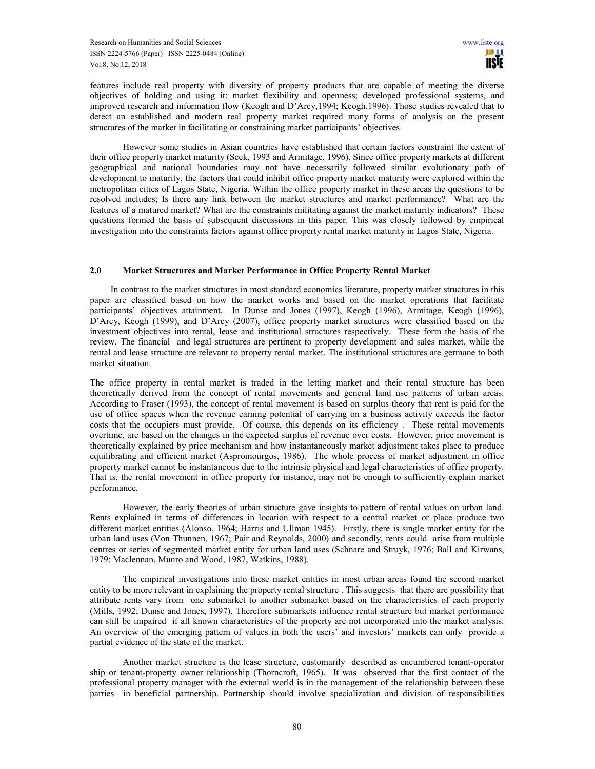features include real property with diversity of property products that are capable of meeting the diverse objectives of holding and using it; market flexibility and openness; developed professional systems, and improved research and information flow (Keogh and D'Arcy,1994; Keogh,1996). Those studies revealed that to detect an established and modern real property market required many forms of analysis on the present structures of the market in facilitating or constraining market participants' objectives.

 However some studies in Asian countries have established that certain factors constraint the extent of their office property market maturity (Seek, 1993 and Armitage, 1996). Since office property markets at different geographical and national boundaries may not have necessarily followed similar evolutionary path of development to maturity, the factors that could inhibit office property market maturity were explored within the metropolitan cities of Lagos State, Nigeria. Within the office property market in these areas the questions to be resolved includes; Is there any link between the market structures and market performance? What are the features of a matured market? What are the constraints militating against the market maturity indicators? These questions formed the basis of subsequent discussions in this paper. This was closely followed by empirical investigation into the constraints factors against office property rental market maturity in Lagos State, Nigeria.

## **2.0 Market Structures and Market Performance in Office Property Rental Market**

 In contrast to the market structures in most standard economics literature, property market structures in this paper are classified based on how the market works and based on the market operations that facilitate participants' objectives attainment. In Dunse and Jones (1997), Keogh (1996), Armitage, Keogh (1996), D'Arcy, Keogh (1999), and D'Arcy (2007), office property market structures were classified based on the investment objectives into rental, lease and institutional structures respectively. These form the basis of the review. The financial and legal structures are pertinent to property development and sales market, while the rental and lease structure are relevant to property rental market. The institutional structures are germane to both market situation.

The office property in rental market is traded in the letting market and their rental structure has been theoretically derived from the concept of rental movements and general land use patterns of urban areas. According to Fraser (1993), the concept of rental movement is based on surplus theory that rent is paid for the use of office spaces when the revenue earning potential of carrying on a business activity exceeds the factor costs that the occupiers must provide. Of course, this depends on its efficiency . These rental movements overtime, are based on the changes in the expected surplus of revenue over costs. However, price movement is theoretically explained by price mechanism and how instantaneously market adjustment takes place to produce equilibrating and efficient market (Aspromourgos, 1986). The whole process of market adjustment in office property market cannot be instantaneous due to the intrinsic physical and legal characteristics of office property. That is, the rental movement in office property for instance, may not be enough to sufficiently explain market performance.

 However, the early theories of urban structure gave insights to pattern of rental values on urban land. Rents explained in terms of differences in location with respect to a central market or place produce two different market entities (Alonso, 1964; Harris and Ullman 1945). Firstly, there is single market entity for the urban land uses (Von Thunnen, 1967; Pair and Reynolds, 2000) and secondly, rents could arise from multiple centres or series of segmented market entity for urban land uses (Schnare and Struyk, 1976; Ball and Kirwans, 1979; Maclennan, Munro and Wood, 1987, Watkins, 1988).

 The empirical investigations into these market entities in most urban areas found the second market entity to be more relevant in explaining the property rental structure . This suggests that there are possibility that attribute rents vary from one submarket to another submarket based on the characteristics of each property (Mills, 1992; Dunse and Jones, 1997). Therefore submarkets influence rental structure but market performance can still be impaired if all known characteristics of the property are not incorporated into the market analysis. An overview of the emerging pattern of values in both the users' and investors' markets can only provide a partial evidence of the state of the market.

 Another market structure is the lease structure, customarily described as encumbered tenant-operator ship or tenant-property owner relationship (Thorncroft, 1965). It was observed that the first contact of the professional property manager with the external world is in the management of the relationship between these parties in beneficial partnership. Partnership should involve specialization and division of responsibilities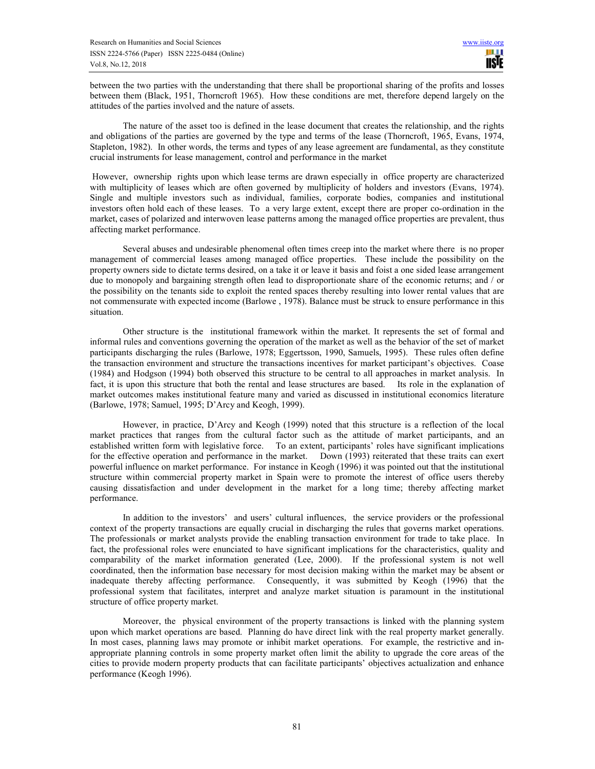between the two parties with the understanding that there shall be proportional sharing of the profits and losses between them (Black, 1951, Thorncroft 1965). How these conditions are met, therefore depend largely on the attitudes of the parties involved and the nature of assets.

 The nature of the asset too is defined in the lease document that creates the relationship, and the rights and obligations of the parties are governed by the type and terms of the lease (Thorncroft, 1965, Evans, 1974, Stapleton, 1982). In other words, the terms and types of any lease agreement are fundamental, as they constitute crucial instruments for lease management, control and performance in the market

 However, ownership rights upon which lease terms are drawn especially in office property are characterized with multiplicity of leases which are often governed by multiplicity of holders and investors (Evans, 1974). Single and multiple investors such as individual, families, corporate bodies, companies and institutional investors often hold each of these leases. To a very large extent, except there are proper co-ordination in the market, cases of polarized and interwoven lease patterns among the managed office properties are prevalent, thus affecting market performance.

 Several abuses and undesirable phenomenal often times creep into the market where there is no proper management of commercial leases among managed office properties. These include the possibility on the property owners side to dictate terms desired, on a take it or leave it basis and foist a one sided lease arrangement due to monopoly and bargaining strength often lead to disproportionate share of the economic returns; and / or the possibility on the tenants side to exploit the rented spaces thereby resulting into lower rental values that are not commensurate with expected income (Barlowe , 1978). Balance must be struck to ensure performance in this situation.

 Other structure is the institutional framework within the market. It represents the set of formal and informal rules and conventions governing the operation of the market as well as the behavior of the set of market participants discharging the rules (Barlowe, 1978; Eggertsson, 1990, Samuels, 1995). These rules often define the transaction environment and structure the transactions incentives for market participant's objectives. Coase (1984) and Hodgson (1994) both observed this structure to be central to all approaches in market analysis. In fact, it is upon this structure that both the rental and lease structures are based. Its role in the explanation of market outcomes makes institutional feature many and varied as discussed in institutional economics literature (Barlowe, 1978; Samuel, 1995; D'Arcy and Keogh, 1999).

 However, in practice, D'Arcy and Keogh (1999) noted that this structure is a reflection of the local market practices that ranges from the cultural factor such as the attitude of market participants, and an established written form with legislative force. To an extent, participants' roles have significant implications for the effective operation and performance in the market. Down (1993) reiterated that these traits can exert powerful influence on market performance. For instance in Keogh (1996) it was pointed out that the institutional structure within commercial property market in Spain were to promote the interest of office users thereby causing dissatisfaction and under development in the market for a long time; thereby affecting market performance.

 In addition to the investors' and users' cultural influences, the service providers or the professional context of the property transactions are equally crucial in discharging the rules that governs market operations. The professionals or market analysts provide the enabling transaction environment for trade to take place. In fact, the professional roles were enunciated to have significant implications for the characteristics, quality and comparability of the market information generated (Lee, 2000). If the professional system is not well coordinated, then the information base necessary for most decision making within the market may be absent or inadequate thereby affecting performance. Consequently, it was submitted by Keogh (1996) that the professional system that facilitates, interpret and analyze market situation is paramount in the institutional structure of office property market.

 Moreover, the physical environment of the property transactions is linked with the planning system upon which market operations are based. Planning do have direct link with the real property market generally. In most cases, planning laws may promote or inhibit market operations. For example, the restrictive and inappropriate planning controls in some property market often limit the ability to upgrade the core areas of the cities to provide modern property products that can facilitate participants' objectives actualization and enhance performance (Keogh 1996).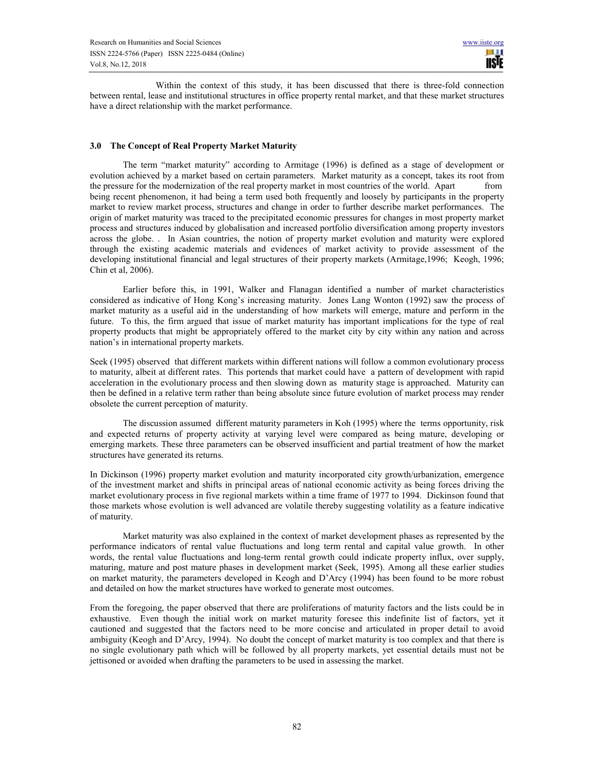Within the context of this study, it has been discussed that there is three-fold connection between rental, lease and institutional structures in office property rental market, and that these market structures have a direct relationship with the market performance.

## **3.0 The Concept of Real Property Market Maturity**

 The term "market maturity" according to Armitage (1996) is defined as a stage of development or evolution achieved by a market based on certain parameters. Market maturity as a concept, takes its root from the pressure for the modernization of the real property market in most countries of the world. Apart from being recent phenomenon, it had being a term used both frequently and loosely by participants in the property market to review market process, structures and change in order to further describe market performances. The origin of market maturity was traced to the precipitated economic pressures for changes in most property market process and structures induced by globalisation and increased portfolio diversification among property investors across the globe. . In Asian countries, the notion of property market evolution and maturity were explored through the existing academic materials and evidences of market activity to provide assessment of the developing institutional financial and legal structures of their property markets (Armitage,1996; Keogh, 1996; Chin et al, 2006).

 Earlier before this, in 1991, Walker and Flanagan identified a number of market characteristics considered as indicative of Hong Kong's increasing maturity. Jones Lang Wonton (1992) saw the process of market maturity as a useful aid in the understanding of how markets will emerge, mature and perform in the future. To this, the firm argued that issue of market maturity has important implications for the type of real property products that might be appropriately offered to the market city by city within any nation and across nation's in international property markets.

Seek (1995) observed that different markets within different nations will follow a common evolutionary process to maturity, albeit at different rates. This portends that market could have a pattern of development with rapid acceleration in the evolutionary process and then slowing down as maturity stage is approached. Maturity can then be defined in a relative term rather than being absolute since future evolution of market process may render obsolete the current perception of maturity.

 The discussion assumed different maturity parameters in Koh (1995) where the terms opportunity, risk and expected returns of property activity at varying level were compared as being mature, developing or emerging markets. These three parameters can be observed insufficient and partial treatment of how the market structures have generated its returns.

In Dickinson (1996) property market evolution and maturity incorporated city growth/urbanization, emergence of the investment market and shifts in principal areas of national economic activity as being forces driving the market evolutionary process in five regional markets within a time frame of 1977 to 1994. Dickinson found that those markets whose evolution is well advanced are volatile thereby suggesting volatility as a feature indicative of maturity.

 Market maturity was also explained in the context of market development phases as represented by the performance indicators of rental value fluctuations and long term rental and capital value growth. In other words, the rental value fluctuations and long-term rental growth could indicate property influx, over supply, maturing, mature and post mature phases in development market (Seek, 1995). Among all these earlier studies on market maturity, the parameters developed in Keogh and D'Arcy (1994) has been found to be more robust and detailed on how the market structures have worked to generate most outcomes.

From the foregoing, the paper observed that there are proliferations of maturity factors and the lists could be in exhaustive. Even though the initial work on market maturity foresee this indefinite list of factors, yet it cautioned and suggested that the factors need to be more concise and articulated in proper detail to avoid ambiguity (Keogh and D'Arcy, 1994). No doubt the concept of market maturity is too complex and that there is no single evolutionary path which will be followed by all property markets, yet essential details must not be jettisoned or avoided when drafting the parameters to be used in assessing the market.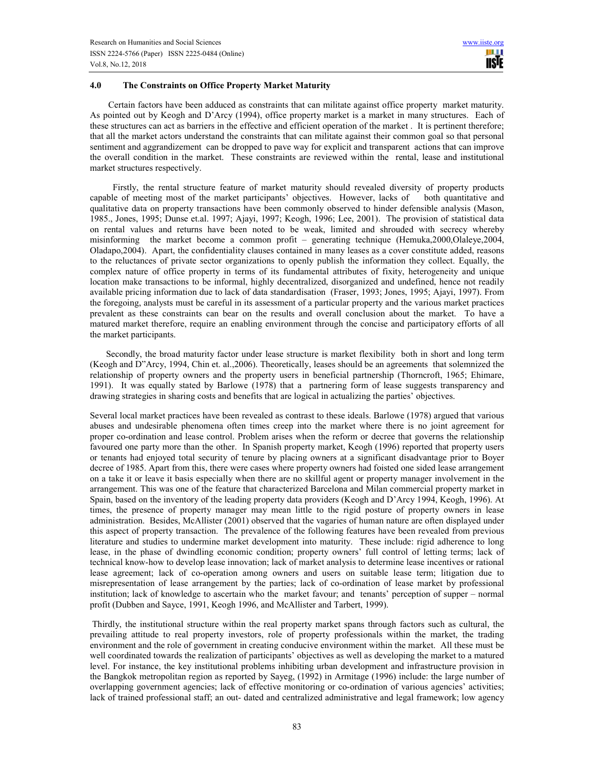## **4.0 The Constraints on Office Property Market Maturity**

 Certain factors have been adduced as constraints that can militate against office property market maturity. As pointed out by Keogh and D'Arcy (1994), office property market is a market in many structures. Each of these structures can act as barriers in the effective and efficient operation of the market . It is pertinent therefore; that all the market actors understand the constraints that can militate against their common goal so that personal sentiment and aggrandizement can be dropped to pave way for explicit and transparent actions that can improve the overall condition in the market. These constraints are reviewed within the rental, lease and institutional market structures respectively.

 Firstly, the rental structure feature of market maturity should revealed diversity of property products capable of meeting most of the market participants' objectives. However, lacks of both quantitative and qualitative data on property transactions have been commonly observed to hinder defensible analysis (Mason, 1985., Jones, 1995; Dunse et.al. 1997; Ajayi, 1997; Keogh, 1996; Lee, 2001). The provision of statistical data on rental values and returns have been noted to be weak, limited and shrouded with secrecy whereby misinforming the market become a common profit – generating technique (Hemuka,2000,Olaleye,2004, Oladapo,2004). Apart, the confidentiality clauses contained in many leases as a cover constitute added, reasons to the reluctances of private sector organizations to openly publish the information they collect. Equally, the complex nature of office property in terms of its fundamental attributes of fixity, heterogeneity and unique location make transactions to be informal, highly decentralized, disorganized and undefined, hence not readily available pricing information due to lack of data standardisation (Fraser, 1993; Jones, 1995; Ajayi, 1997). From the foregoing, analysts must be careful in its assessment of a particular property and the various market practices prevalent as these constraints can bear on the results and overall conclusion about the market. To have a matured market therefore, require an enabling environment through the concise and participatory efforts of all the market participants.

 Secondly, the broad maturity factor under lease structure is market flexibility both in short and long term (Keogh and D"Arcy, 1994, Chin et. al.,2006). Theoretically, leases should be an agreements that solemnized the relationship of property owners and the property users in beneficial partnership (Thorncroft, 1965; Ehimare, 1991). It was equally stated by Barlowe (1978) that a partnering form of lease suggests transparency and drawing strategies in sharing costs and benefits that are logical in actualizing the parties' objectives.

Several local market practices have been revealed as contrast to these ideals. Barlowe (1978) argued that various abuses and undesirable phenomena often times creep into the market where there is no joint agreement for proper co-ordination and lease control. Problem arises when the reform or decree that governs the relationship favoured one party more than the other. In Spanish property market, Keogh (1996) reported that property users or tenants had enjoyed total security of tenure by placing owners at a significant disadvantage prior to Boyer decree of 1985. Apart from this, there were cases where property owners had foisted one sided lease arrangement on a take it or leave it basis especially when there are no skillful agent or property manager involvement in the arrangement. This was one of the feature that characterized Barcelona and Milan commercial property market in Spain, based on the inventory of the leading property data providers (Keogh and D'Arcy 1994, Keogh, 1996). At times, the presence of property manager may mean little to the rigid posture of property owners in lease administration. Besides, McAllister (2001) observed that the vagaries of human nature are often displayed under this aspect of property transaction. The prevalence of the following features have been revealed from previous literature and studies to undermine market development into maturity. These include: rigid adherence to long lease, in the phase of dwindling economic condition; property owners' full control of letting terms; lack of technical know-how to develop lease innovation; lack of market analysis to determine lease incentives or rational lease agreement; lack of co-operation among owners and users on suitable lease term; litigation due to misrepresentation of lease arrangement by the parties; lack of co-ordination of lease market by professional institution; lack of knowledge to ascertain who the market favour; and tenants' perception of supper – normal profit (Dubben and Sayce, 1991, Keogh 1996, and McAllister and Tarbert, 1999).

 Thirdly, the institutional structure within the real property market spans through factors such as cultural, the prevailing attitude to real property investors, role of property professionals within the market, the trading environment and the role of government in creating conducive environment within the market. All these must be well coordinated towards the realization of participants' objectives as well as developing the market to a matured level. For instance, the key institutional problems inhibiting urban development and infrastructure provision in the Bangkok metropolitan region as reported by Sayeg, (1992) in Armitage (1996) include: the large number of overlapping government agencies; lack of effective monitoring or co-ordination of various agencies' activities; lack of trained professional staff; an out- dated and centralized administrative and legal framework; low agency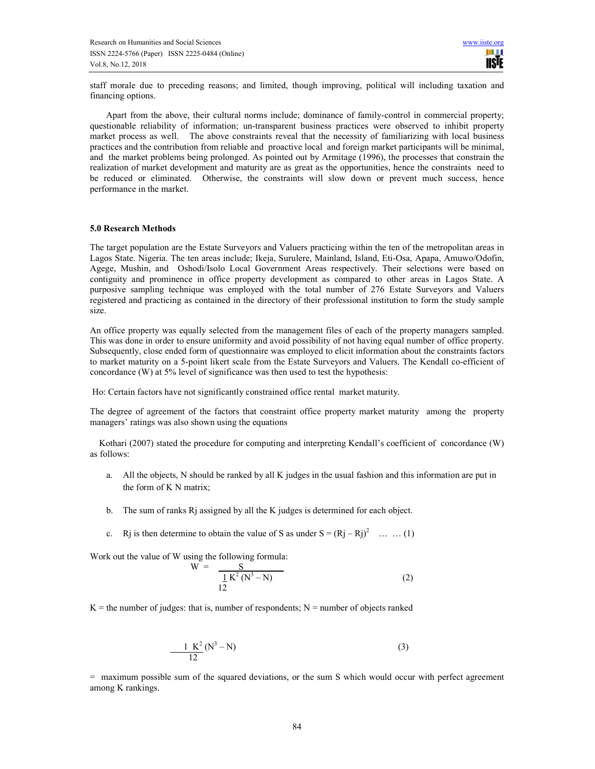staff morale due to preceding reasons; and limited, though improving, political will including taxation and financing options.

 Apart from the above, their cultural norms include; dominance of family-control in commercial property; questionable reliability of information; un-transparent business practices were observed to inhibit property market process as well. The above constraints reveal that the necessity of familiarizing with local business practices and the contribution from reliable and proactive local and foreign market participants will be minimal, and the market problems being prolonged. As pointed out by Armitage (1996), the processes that constrain the realization of market development and maturity are as great as the opportunities, hence the constraints need to be reduced or eliminated. Otherwise, the constraints will slow down or prevent much success, hence performance in the market.

## **5.0 Research Methods**

The target population are the Estate Surveyors and Valuers practicing within the ten of the metropolitan areas in Lagos State. Nigeria. The ten areas include; Ikeja, Surulere, Mainland, Island, Eti-Osa, Apapa, Amuwo/Odofin, Agege, Mushin, and Oshodi/Isolo Local Government Areas respectively. Their selections were based on contiguity and prominence in office property development as compared to other areas in Lagos State. A purposive sampling technique was employed with the total number of 276 Estate Surveyors and Valuers registered and practicing as contained in the directory of their professional institution to form the study sample size.

An office property was equally selected from the management files of each of the property managers sampled. This was done in order to ensure uniformity and avoid possibility of not having equal number of office property. Subsequently, close ended form of questionnaire was employed to elicit information about the constraints factors to market maturity on a 5-point likert scale from the Estate Surveyors and Valuers. The Kendall co-efficient of concordance (W) at 5% level of significance was then used to test the hypothesis:

Ho: Certain factors have not significantly constrained office rental market maturity.

The degree of agreement of the factors that constraint office property market maturity among the property managers' ratings was also shown using the equations

 Kothari (2007) stated the procedure for computing and interpreting Kendall's coefficient of concordance (W) as follows:

- a. All the objects, N should be ranked by all K judges in the usual fashion and this information are put in the form of K N matrix;
- b. The sum of ranks Rj assigned by all the K judges is determined for each object.
- c. Rj is then determine to obtain the value of S as under  $S = (Rj Rj)^2$  ... ... (1)

Work out the value of W using the following formula:

 $W =$ 

$$
W = \frac{S}{\frac{1}{12}K^2(N^3 - N)}
$$
 (2)

 $K =$  the number of judges: that is, number of respondents;  $N =$  number of objects ranked

$$
\frac{1 K^2}{12} (N^3 - N) \tag{3}
$$

= maximum possible sum of the squared deviations, or the sum S which would occur with perfect agreement among K rankings.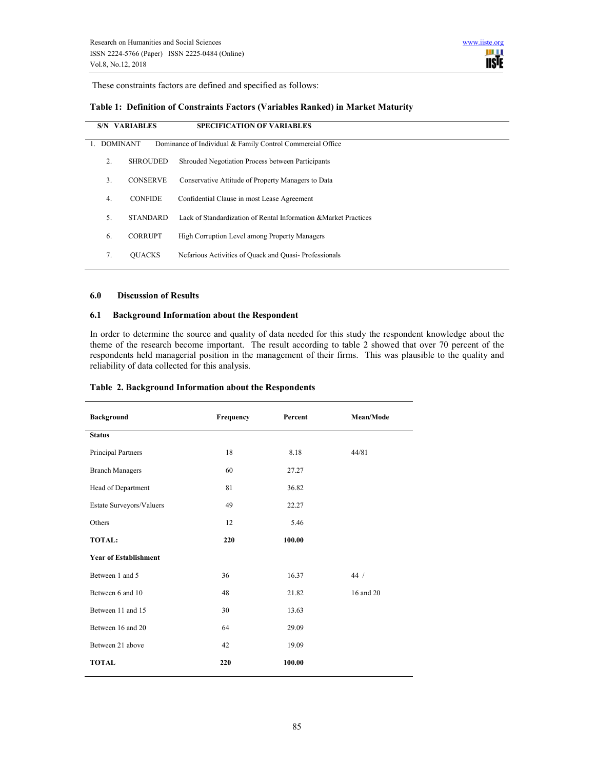

These constraints factors are defined and specified as follows:

# **Table 1: Definition of Constraints Factors (Variables Ranked) in Market Maturity**

| <b>S/N VARIABLES</b> |                 | <b>SPECIFICATION OF VARIABLES</b>                                |
|----------------------|-----------------|------------------------------------------------------------------|
| <b>DOMINANT</b>      |                 | Dominance of Individual & Family Control Commercial Office       |
| 2.                   | <b>SHROUDED</b> | Shrouded Negotiation Process between Participants                |
| 3.                   | <b>CONSERVE</b> | Conservative Attitude of Property Managers to Data               |
| 4.                   | <b>CONFIDE</b>  | Confidential Clause in most Lease Agreement                      |
| 5.                   | <b>STANDARD</b> | Lack of Standardization of Rental Information & Market Practices |
| 6.                   | <b>CORRUPT</b>  | High Corruption Level among Property Managers                    |
| 7.                   | <b>OUACKS</b>   | Nefarious Activities of Quack and Quasi-Professionals            |

#### **6.0 Discussion of Results**

#### **6.1 Background Information about the Respondent**

In order to determine the source and quality of data needed for this study the respondent knowledge about the theme of the research become important. The result according to table 2 showed that over 70 percent of the respondents held managerial position in the management of their firms. This was plausible to the quality and reliability of data collected for this analysis.

| <b>Background</b>            | Frequency | Percent | Mean/Mode |
|------------------------------|-----------|---------|-----------|
| <b>Status</b>                |           |         |           |
| Principal Partners           | 18        | 8.18    | 44/81     |
| <b>Branch Managers</b>       | 60        | 27.27   |           |
| Head of Department           | 81        | 36.82   |           |
| Estate Surveyors/Valuers     | 49        | 22.27   |           |
| Others                       | 12        | 5.46    |           |
| <b>TOTAL:</b>                | 220       | 100.00  |           |
| <b>Year of Establishment</b> |           |         |           |
| Between 1 and 5              | 36        | 16.37   | 44/       |
| Between 6 and 10             | 48        | 21.82   | 16 and 20 |
| Between 11 and 15            | 30        | 13.63   |           |
| Between 16 and 20            | 64        | 29.09   |           |
| Between 21 above             | 42        | 19.09   |           |
| <b>TOTAL</b>                 | 220       | 100.00  |           |

### **Table 2. Background Information about the Respondents**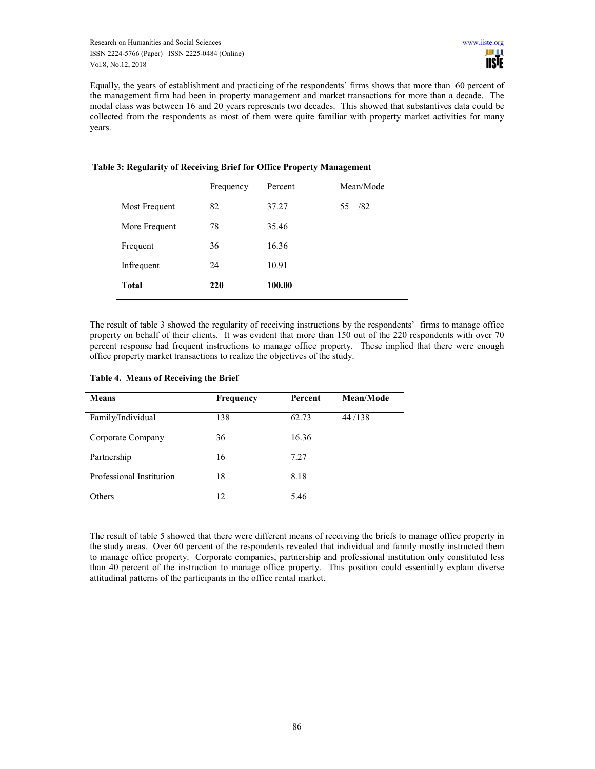Equally, the years of establishment and practicing of the respondents' firms shows that more than 60 percent of the management firm had been in property management and market transactions for more than a decade. The modal class was between 16 and 20 years represents two decades. This showed that substantives data could be collected from the respondents as most of them were quite familiar with property market activities for many years.

|               | Frequency | Percent | Mean/Mode |
|---------------|-----------|---------|-----------|
| Most Frequent | 82        | 37.27   | /82<br>55 |
| More Frequent | 78        | 35.46   |           |
| Frequent      | 36        | 16.36   |           |
| Infrequent    | 24        | 10.91   |           |
| <b>Total</b>  | 220       | 100.00  |           |

# **Table 3: Regularity of Receiving Brief for Office Property Management**

The result of table 3 showed the regularity of receiving instructions by the respondents' firms to manage office property on behalf of their clients. It was evident that more than 150 out of the 220 respondents with over 70 percent response had frequent instructions to manage office property. These implied that there were enough office property market transactions to realize the objectives of the study.

| Frequency | <b>Percent</b> | Mean/Mode |  |
|-----------|----------------|-----------|--|
| 138       | 62.73          | 44/138    |  |
| 36        | 16.36          |           |  |
| 16        | 7.27           |           |  |
| 18        | 8.18           |           |  |
| 12        | 5.46           |           |  |
|           |                |           |  |

## **Table 4. Means of Receiving the Brief**

The result of table 5 showed that there were different means of receiving the briefs to manage office property in the study areas. Over 60 percent of the respondents revealed that individual and family mostly instructed them to manage office property. Corporate companies, partnership and professional institution only constituted less than 40 percent of the instruction to manage office property. This position could essentially explain diverse attitudinal patterns of the participants in the office rental market.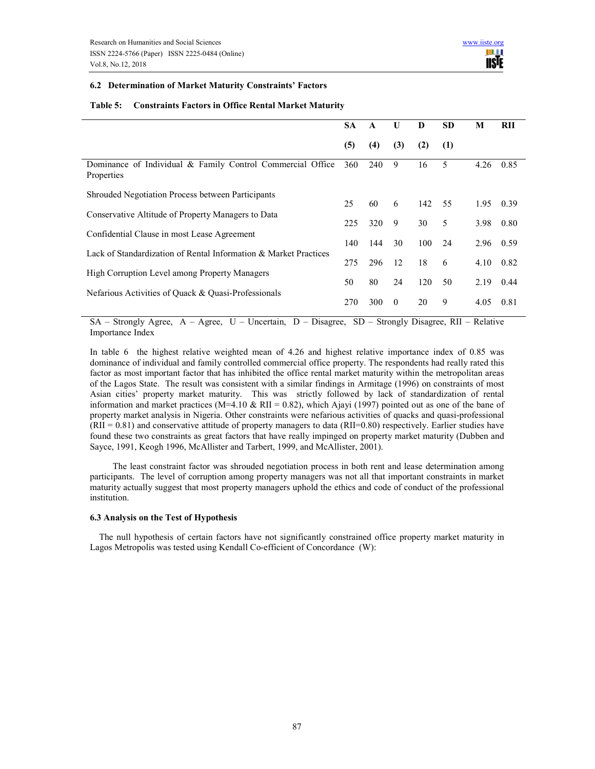## **6.2 Determination of Market Maturity Constraints' Factors**

#### **Table 5: Constraints Factors in Office Rental Market Maturity**

|                                                                          | <b>SA</b> | A   | U        | D   | <b>SD</b> | M    | RII  |
|--------------------------------------------------------------------------|-----------|-----|----------|-----|-----------|------|------|
|                                                                          | (5)       | (4) | (3)      | (2) | (1)       |      |      |
| Dominance of Individual & Family Control Commercial Office<br>Properties | 360       | 240 | 9        | 16  | 5         | 4.26 | 0.85 |
| <b>Shrouded Negotiation Process between Participants</b>                 | 25        |     |          |     |           |      |      |
| Conservative Altitude of Property Managers to Data                       |           | 60  | 6        | 142 | 55        | 1.95 | 0.39 |
|                                                                          |           | 320 | 9        | 30  | 5         | 3.98 | 0.80 |
| Confidential Clause in most Lease Agreement                              |           |     |          |     |           |      |      |
| Lack of Standardization of Rental Information & Market Practices         | 140       | 144 | 30       | 100 | 24        | 2.96 | 0.59 |
|                                                                          |           | 296 | 12       | 18  | 6         | 4.10 | 0.82 |
| High Corruption Level among Property Managers                            |           |     |          |     |           |      |      |
|                                                                          | 50        | 80  | 24       | 120 | 50        | 2.19 | 0.44 |
| Nefarious Activities of Quack & Quasi-Professionals                      | 270       | 300 | $\theta$ | 20  | 9         | 4.05 | 0.81 |

SA – Strongly Agree, A – Agree, U – Uncertain, D – Disagree, SD – Strongly Disagree, RII – Relative Importance Index

In table 6 the highest relative weighted mean of 4.26 and highest relative importance index of 0.85 was dominance of individual and family controlled commercial office property. The respondents had really rated this factor as most important factor that has inhibited the office rental market maturity within the metropolitan areas of the Lagos State. The result was consistent with a similar findings in Armitage (1996) on constraints of most Asian cities' property market maturity. This was strictly followed by lack of standardization of rental information and market practices (M=4.10 & RII = 0.82), which Ajayi (1997) pointed out as one of the bane of property market analysis in Nigeria. Other constraints were nefarious activities of quacks and quasi-professional  $(RII = 0.81)$  and conservative attitude of property managers to data  $(RII=0.80)$  respectively. Earlier studies have found these two constraints as great factors that have really impinged on property market maturity (Dubben and Sayce, 1991, Keogh 1996, McAllister and Tarbert, 1999, and McAllister, 2001).

 The least constraint factor was shrouded negotiation process in both rent and lease determination among participants. The level of corruption among property managers was not all that important constraints in market maturity actually suggest that most property managers uphold the ethics and code of conduct of the professional institution.

#### **6.3 Analysis on the Test of Hypothesis**

The null hypothesis of certain factors have not significantly constrained office property market maturity in Lagos Metropolis was tested using Kendall Co-efficient of Concordance (W):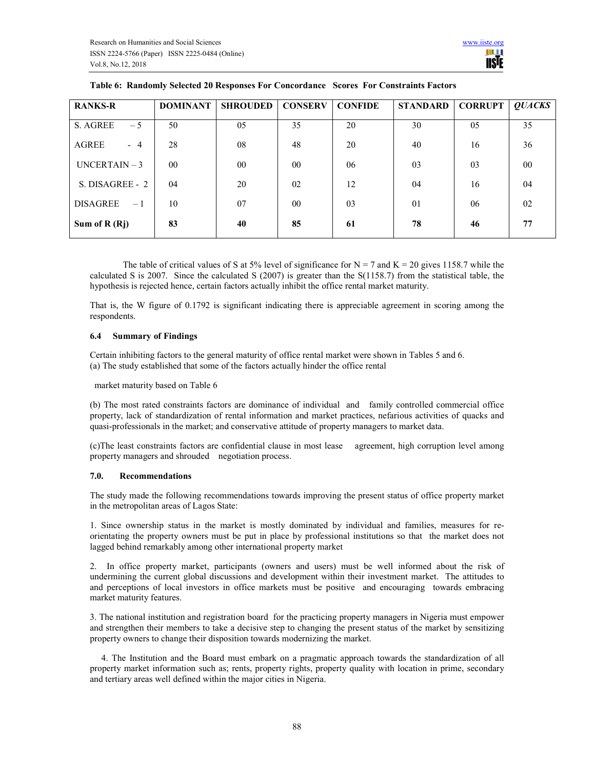| <b>RANKS-R</b>          | <b>DOMINANT</b> | <b>SHROUDED</b> | <b>CONSERV</b> | <b>CONFIDE</b> | STANDARD | <b>CORRUPT</b> | <b>OUACKS</b> |
|-------------------------|-----------------|-----------------|----------------|----------------|----------|----------------|---------------|
| $-5$<br>S. AGREE        | 50              | 0.5             | 35             | 20             | 30       | 0 <sub>5</sub> | 35            |
| AGREE<br>$-4$           | 28              | 08              | 48             | 20             | 40       | 16             | 36            |
| $UNCERTAIN - 3$         | $00\,$          | 00              | 0 <sub>0</sub> | 06             | 03       | 03             | $00\,$        |
| S. DISAGREE - 2         | 04              | 20              | 02             | 12             | 04       | 16             | 04            |
| <b>DISAGREE</b><br>$-1$ | 10              | 07              | 0 <sub>0</sub> | 03             | 01       | 06             | 02            |
| Sum of $R(Rj)$          | 83              | 40              | 85             | 61             | 78       | 46             | 77            |

**IISIE** 

The table of critical values of S at 5% level of significance for  $N = 7$  and  $K = 20$  gives 1158.7 while the calculated S is 2007. Since the calculated S (2007) is greater than the S(1158.7) from the statistical table, the hypothesis is rejected hence, certain factors actually inhibit the office rental market maturity.

That is, the W figure of 0.1792 is significant indicating there is appreciable agreement in scoring among the respondents.

## **6.4 Summary of Findings**

Certain inhibiting factors to the general maturity of office rental market were shown in Tables 5 and 6. (a) The study established that some of the factors actually hinder the office rental

market maturity based on Table 6

(b) The most rated constraints factors are dominance of individual and family controlled commercial office property, lack of standardization of rental information and market practices, nefarious activities of quacks and quasi-professionals in the market; and conservative attitude of property managers to market data.

(c)The least constraints factors are confidential clause in most lease agreement, high corruption level among property managers and shrouded negotiation process.

## **7.0. Recommendations**

The study made the following recommendations towards improving the present status of office property market in the metropolitan areas of Lagos State:

1. Since ownership status in the market is mostly dominated by individual and families, measures for reorientating the property owners must be put in place by professional institutions so that the market does not lagged behind remarkably among other international property market

2. In office property market, participants (owners and users) must be well informed about the risk of undermining the current global discussions and development within their investment market. The attitudes to and perceptions of local investors in office markets must be positive and encouraging towards embracing market maturity features.

3. The national institution and registration board for the practicing property managers in Nigeria must empower and strengthen their members to take a decisive step to changing the present status of the market by sensitizing property owners to change their disposition towards modernizing the market.

 4. The Institution and the Board must embark on a pragmatic approach towards the standardization of all property market information such as; rents, property rights, property quality with location in prime, secondary and tertiary areas well defined within the major cities in Nigeria.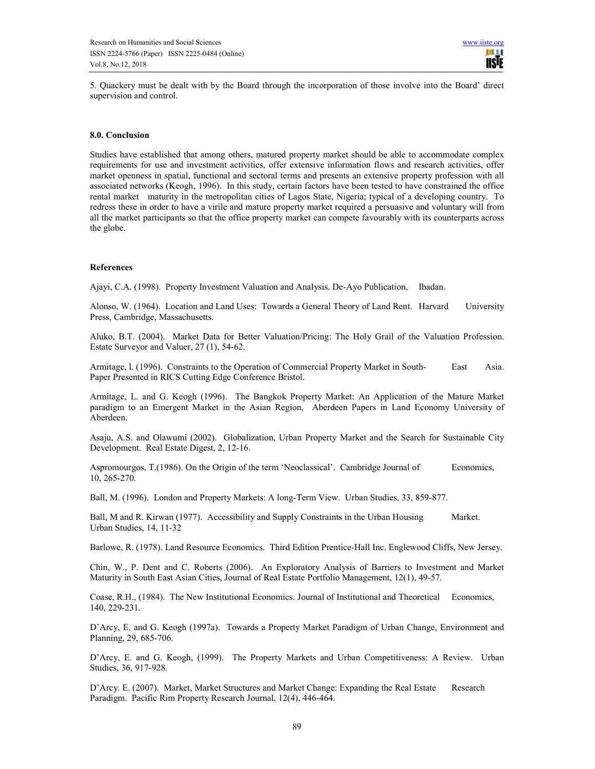5. Quackery must be dealt with by the Board through the incorporation of those involve into the Board' direct supervision and control.

#### **8.0. Conclusion**

Studies have established that among others, matured property market should be able to accommodate complex requirements for use and investment activities, offer extensive information flows and research activities, offer market openness in spatial, functional and sectoral terms and presents an extensive property profession with all associated networks (Keogh, 1996). In this study, certain factors have been tested to have constrained the office rental market maturity in the metropolitan cities of Lagos State, Nigeria; typical of a developing country. To redress these in order to have a virile and mature property market required a persuasive and voluntary will from all the market participants so that the office property market can compete favourably with its counterparts across the globe.

#### **References**

Ajayi, C.A. (1998). Property Investment Valuation and Analysis. De-Ayo Publication, Ibadan.

Alonso, W. (1964). Location and Land Uses: Towards a General Theory of Land Rent. Harvard University Press, Cambridge, Massachusetts.

Aluko, B.T. (2004). Market Data for Better Valuation/Pricing: The Holy Grail of the Valuation Profession. Estate Surveyor and Valuer, 27 (1), 54-62.

Armitage, l. (1996). Constraints to the Operation of Commercial Property Market in South- East Asia. Paper Presented in RICS Cutting Edge Conference Bristol.

Armitage, L. and G. Keogh (1996). The Bangkok Property Market: An Application of the Mature Market paradigm to an Emergent Market in the Asian Region, Aberdeen Papers in Land Economy University of Aberdeen.

Asaju, A.S. and Olawumi (2002). Globalization, Urban Property Market and the Search for Sustainable City Development. Real Estate Digest, 2, 12-16.

Aspromourgos, T.(1986). On the Origin of the term 'Neoclassical'. Cambridge Journal of Economics, 10, 265-270.

Ball, M. (1996). London and Property Markets: A long-Term View. Urban Studies, 33, 859-877.

Ball, M and R. Kirwan (1977). Accessibility and Supply Constraints in the Urban Housing Market. Urban Studies, 14, 11-32

Barlowe, R. (1978). Land Resource Economics. Third Edition Prentice-Hall Inc. Englewood Cliffs, New Jersey.

Chin, W., P. Dent and C. Roberts (2006). An Exploratory Analysis of Barriers to Investment and Market Maturity in South East Asian Cities, Journal of Real Estate Portfolio Management, 12(1), 49-57.

Coase, R.H., (1984). The New Institutional Economics. Journal of Institutional and Theoretical Economics, 140, 229-231.

D'Arcy, E. and G. Keogh (1997a). Towards a Property Market Paradigm of Urban Change, Environment and Planning, 29, 685-706.

D'Arcy, E. and G. Keogh, (1999). The Property Markets and Urban Competitiveness: A Review. Urban Studies, 36, 917-928.

D'Arcy. E. (2007). Market, Market Structures and Market Change: Expanding the Real Estate Research Paradigm. Pacific Rim Property Research Journal, 12(4), 446-464.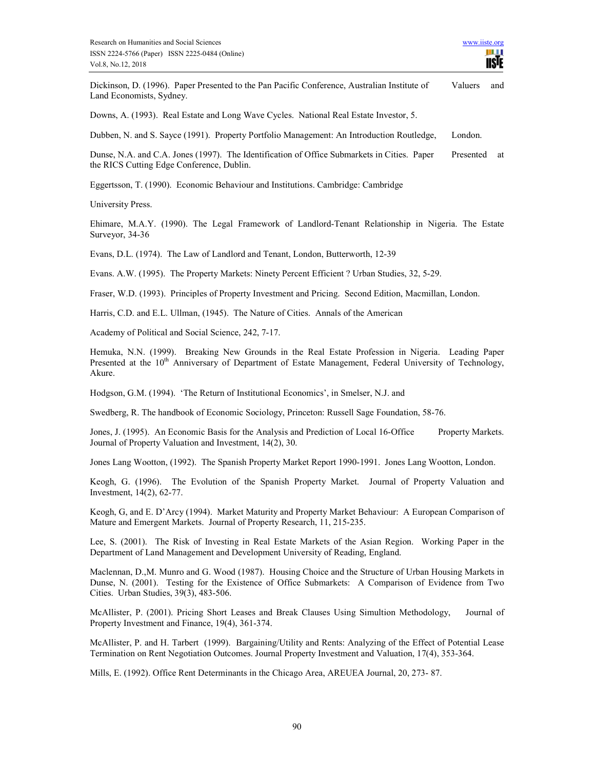

Dickinson, D. (1996). Paper Presented to the Pan Pacific Conference, Australian Institute of Valuers and Land Economists, Sydney.

Downs, A. (1993). Real Estate and Long Wave Cycles. National Real Estate Investor, 5.

Dubben, N. and S. Sayce (1991). Property Portfolio Management: An Introduction Routledge, London.

Dunse, N.A. and C.A. Jones (1997). The Identification of Office Submarkets in Cities. Paper Presented at the RICS Cutting Edge Conference, Dublin.

Eggertsson, T. (1990). Economic Behaviour and Institutions. Cambridge: Cambridge

University Press.

Ehimare, M.A.Y. (1990). The Legal Framework of Landlord-Tenant Relationship in Nigeria. The Estate Surveyor, 34-36

Evans, D.L. (1974). The Law of Landlord and Tenant, London, Butterworth, 12-39

Evans. A.W. (1995). The Property Markets: Ninety Percent Efficient ? Urban Studies, 32, 5-29.

Fraser, W.D. (1993). Principles of Property Investment and Pricing. Second Edition, Macmillan, London.

Harris, C.D. and E.L. Ullman, (1945). The Nature of Cities. Annals of the American

Academy of Political and Social Science, 242, 7-17.

Hemuka, N.N. (1999). Breaking New Grounds in the Real Estate Profession in Nigeria. Leading Paper Presented at the 10<sup>th</sup> Anniversary of Department of Estate Management, Federal University of Technology, Akure.

Hodgson, G.M. (1994). 'The Return of Institutional Economics', in Smelser, N.J. and

Swedberg, R. The handbook of Economic Sociology, Princeton: Russell Sage Foundation, 58-76.

Jones, J. (1995). An Economic Basis for the Analysis and Prediction of Local 16-Office Property Markets. Journal of Property Valuation and Investment, 14(2), 30.

Jones Lang Wootton, (1992). The Spanish Property Market Report 1990-1991. Jones Lang Wootton, London.

Keogh, G. (1996). The Evolution of the Spanish Property Market. Journal of Property Valuation and Investment, 14(2), 62-77.

Keogh, G, and E. D'Arcy (1994). Market Maturity and Property Market Behaviour: A European Comparison of Mature and Emergent Markets. Journal of Property Research, 11, 215-235.

Lee, S. (2001). The Risk of Investing in Real Estate Markets of the Asian Region. Working Paper in the Department of Land Management and Development University of Reading, England.

Maclennan, D.,M. Munro and G. Wood (1987). Housing Choice and the Structure of Urban Housing Markets in Dunse, N. (2001). Testing for the Existence of Office Submarkets: A Comparison of Evidence from Two Cities. Urban Studies, 39(3), 483-506.

McAllister, P. (2001). Pricing Short Leases and Break Clauses Using Simultion Methodology, Journal of Property Investment and Finance, 19(4), 361-374.

McAllister, P. and H. Tarbert (1999). Bargaining/Utility and Rents: Analyzing of the Effect of Potential Lease Termination on Rent Negotiation Outcomes. Journal Property Investment and Valuation, 17(4), 353-364.

Mills, E. (1992). Office Rent Determinants in the Chicago Area, AREUEA Journal, 20, 273- 87.